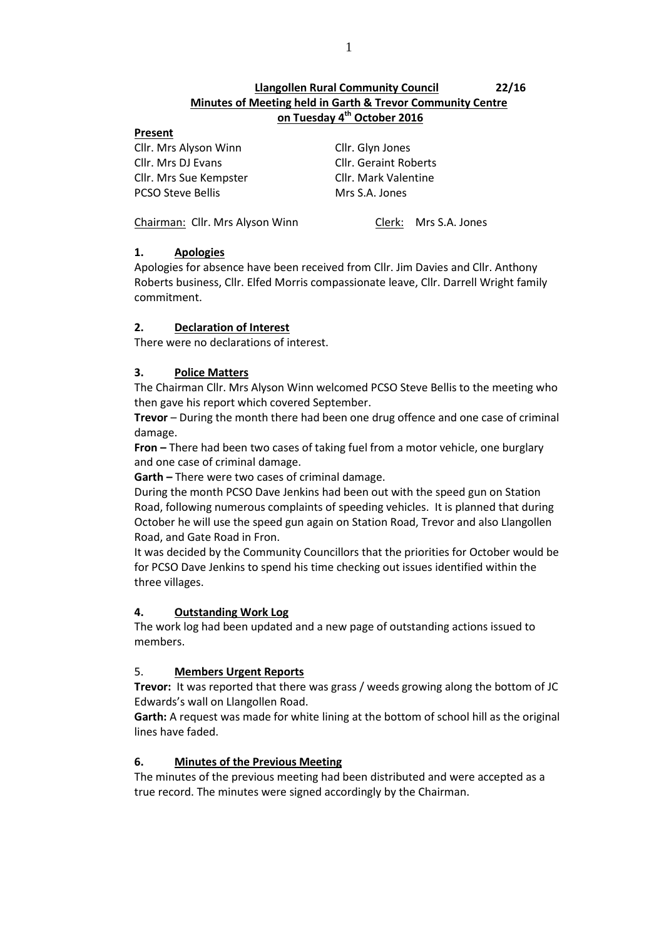# **Llangollen Rural Community Council 22/16 Minutes of Meeting held in Garth & Trevor Community Centre on Tuesday 4 th October 2016**

#### **Present**

Cllr. Mrs Alyson Winn Cllr. Glyn Jones Cllr. Mrs DJ Evans Cllr. Geraint Roberts Cllr. Mrs Sue Kempster Cllr. Mark Valentine PCSO Steve Bellis Mrs S.A. Jones

Chairman: Cllr. Mrs Alyson Winn Clerk: Mrs S.A. Jones

## **1. Apologies**

Apologies for absence have been received from Cllr. Jim Davies and Cllr. Anthony Roberts business, Cllr. Elfed Morris compassionate leave, Cllr. Darrell Wright family commitment.

## **2. Declaration of Interest**

There were no declarations of interest.

## **3. Police Matters**

The Chairman Cllr. Mrs Alyson Winn welcomed PCSO Steve Bellis to the meeting who then gave his report which covered September.

**Trevor** – During the month there had been one drug offence and one case of criminal damage.

**Fron –** There had been two cases of taking fuel from a motor vehicle, one burglary and one case of criminal damage.

**Garth –** There were two cases of criminal damage.

During the month PCSO Dave Jenkins had been out with the speed gun on Station Road, following numerous complaints of speeding vehicles. It is planned that during October he will use the speed gun again on Station Road, Trevor and also Llangollen Road, and Gate Road in Fron.

It was decided by the Community Councillors that the priorities for October would be for PCSO Dave Jenkins to spend his time checking out issues identified within the three villages.

#### **4. Outstanding Work Log**

The work log had been updated and a new page of outstanding actions issued to members.

## 5. **Members Urgent Reports**

**Trevor:** It was reported that there was grass / weeds growing along the bottom of JC Edwards's wall on Llangollen Road.

**Garth:** A request was made for white lining at the bottom of school hill as the original lines have faded.

## **6. Minutes of the Previous Meeting**

The minutes of the previous meeting had been distributed and were accepted as a true record. The minutes were signed accordingly by the Chairman.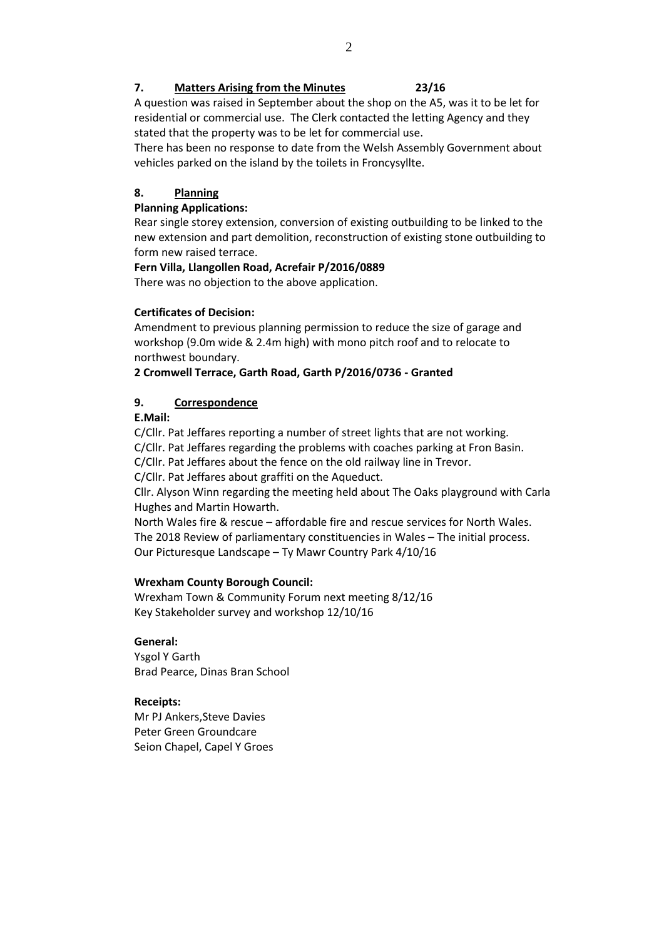## **7. Matters Arising from the Minutes 23/16**

A question was raised in September about the shop on the A5, was it to be let for residential or commercial use. The Clerk contacted the letting Agency and they stated that the property was to be let for commercial use.

There has been no response to date from the Welsh Assembly Government about vehicles parked on the island by the toilets in Froncysyllte.

## **8. Planning**

## **Planning Applications:**

Rear single storey extension, conversion of existing outbuilding to be linked to the new extension and part demolition, reconstruction of existing stone outbuilding to form new raised terrace.

## **Fern Villa, Llangollen Road, Acrefair P/2016/0889**

There was no objection to the above application.

## **Certificates of Decision:**

Amendment to previous planning permission to reduce the size of garage and workshop (9.0m wide & 2.4m high) with mono pitch roof and to relocate to northwest boundary.

## **2 Cromwell Terrace, Garth Road, Garth P/2016/0736 - Granted**

## **9. Correspondence**

## **E.Mail:**

C/Cllr. Pat Jeffares reporting a number of street lights that are not working. C/Cllr. Pat Jeffares regarding the problems with coaches parking at Fron Basin.

C/Cllr. Pat Jeffares about the fence on the old railway line in Trevor.

C/Cllr. Pat Jeffares about graffiti on the Aqueduct.

Cllr. Alyson Winn regarding the meeting held about The Oaks playground with Carla Hughes and Martin Howarth.

North Wales fire & rescue – affordable fire and rescue services for North Wales. The 2018 Review of parliamentary constituencies in Wales – The initial process. Our Picturesque Landscape – Ty Mawr Country Park 4/10/16

#### **Wrexham County Borough Council:**

Wrexham Town & Community Forum next meeting 8/12/16 Key Stakeholder survey and workshop 12/10/16

## **General:**

Ysgol Y Garth Brad Pearce, Dinas Bran School

## **Receipts:**

Mr PJ Ankers,Steve Davies Peter Green Groundcare Seion Chapel, Capel Y Groes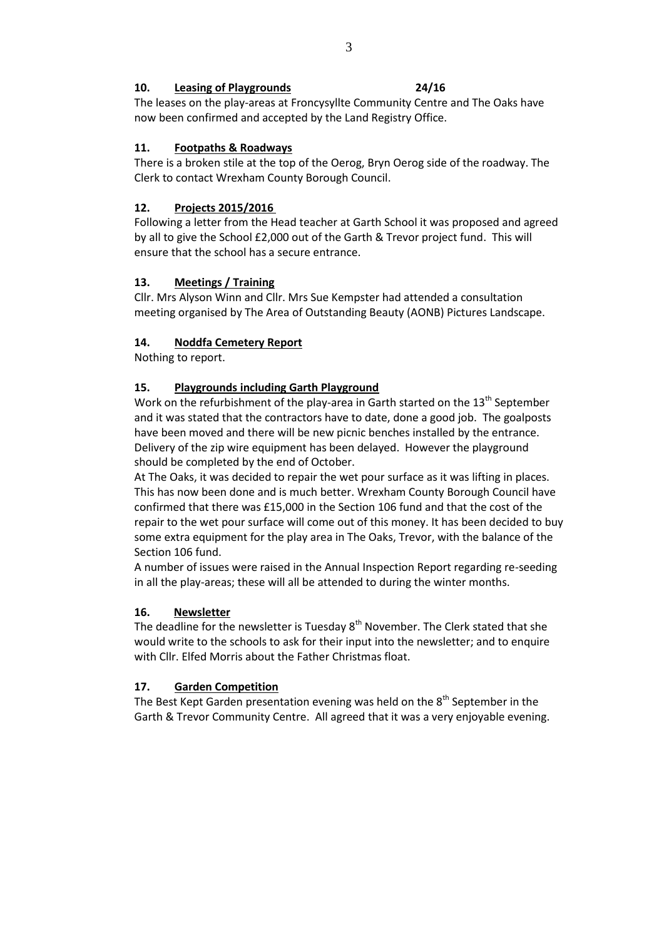#### **10. Leasing of Playgrounds 24/16**

The leases on the play-areas at Froncysyllte Community Centre and The Oaks have now been confirmed and accepted by the Land Registry Office.

## **11. Footpaths & Roadways**

There is a broken stile at the top of the Oerog, Bryn Oerog side of the roadway. The Clerk to contact Wrexham County Borough Council.

# **12. Projects 2015/2016**

Following a letter from the Head teacher at Garth School it was proposed and agreed by all to give the School £2,000 out of the Garth & Trevor project fund. This will ensure that the school has a secure entrance.

# **13. Meetings / Training**

Cllr. Mrs Alyson Winn and Cllr. Mrs Sue Kempster had attended a consultation meeting organised by The Area of Outstanding Beauty (AONB) Pictures Landscape.

# **14. Noddfa Cemetery Report**

Nothing to report.

# **15. Playgrounds including Garth Playground**

Work on the refurbishment of the play-area in Garth started on the  $13<sup>th</sup>$  September and it was stated that the contractors have to date, done a good job. The goalposts have been moved and there will be new picnic benches installed by the entrance. Delivery of the zip wire equipment has been delayed. However the playground should be completed by the end of October.

At The Oaks, it was decided to repair the wet pour surface as it was lifting in places. This has now been done and is much better. Wrexham County Borough Council have confirmed that there was £15,000 in the Section 106 fund and that the cost of the repair to the wet pour surface will come out of this money. It has been decided to buy some extra equipment for the play area in The Oaks, Trevor, with the balance of the Section 106 fund.

A number of issues were raised in the Annual Inspection Report regarding re-seeding in all the play-areas; these will all be attended to during the winter months.

## **16. Newsletter**

The deadline for the newsletter is Tuesday  $8<sup>th</sup>$  November. The Clerk stated that she would write to the schools to ask for their input into the newsletter; and to enquire with Cllr. Elfed Morris about the Father Christmas float.

# **17. Garden Competition**

The Best Kept Garden presentation evening was held on the  $8<sup>th</sup>$  September in the Garth & Trevor Community Centre. All agreed that it was a very enjoyable evening.